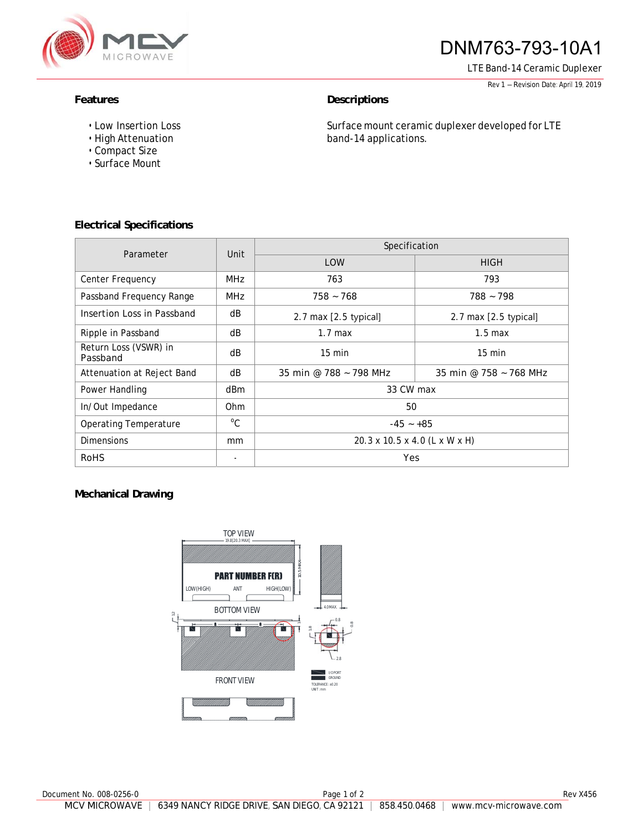

# DNM763-793-10A1

LTE Band-14 Ceramic Duplexer

Rev <sup>1</sup> – Revision Date: April 19, <sup>2019</sup>

### Features **Descriptions**

- Low Insertion Loss
- High Attenuation
- Compact Size
- Surface Mount

Surface mount ceramic duplexer developed for LTE band-14 applications.

# **Electrical Specifications**

| Parameter                         | Unit            | Specification                 |                         |
|-----------------------------------|-----------------|-------------------------------|-------------------------|
|                                   |                 | <b>LOW</b>                    | <b>HIGH</b>             |
| Center Frequency                  | <b>MHz</b>      | 763                           | 793                     |
| Passband Frequency Range          | <b>MHz</b>      | $758 - 768$                   | $788 - 798$             |
| Insertion Loss in Passband        | dB              | $2.7$ max $[2.5$ typical]     | 2.7 max $[2.5$ typical] |
| Ripple in Passband                | dB              | $1.7 \text{ max}$             | $1.5 \text{ max}$       |
| Return Loss (VSWR) in<br>Passband | dB              | $15 \text{ min}$              | $15 \text{ min}$        |
| Attenuation at Reject Band        | dB              | 35 min @ 788 ~ 798 MHz        | 35 min @ 758 ~ 768 MHz  |
| Power Handling                    | dBm             | 33 CW max                     |                         |
| In/Out Impedance                  | 0 <sub>hm</sub> | 50                            |                         |
| <b>Operating Temperature</b>      | $^{\circ}$ C    | $-45 - +85$                   |                         |
| <b>Dimensions</b>                 | mm              | 20.3 x 10.5 x 4.0 (L x W x H) |                         |
| <b>RoHS</b>                       | ٠               | Yes                           |                         |

## **Mechanical Drawing**